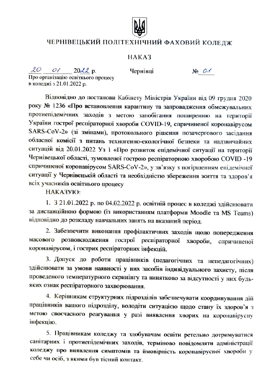

## ЧЕРНІВЕЦЬКИЙ ПОЛІТЕХНІЧНИЙ ФАХОВИЙ КОЛЕДЖ

## HAKA3

 $20$  $0/20d2p$ .

Чернівці

 $N_2$  01

Про організацію освітнього процесу в коледжі з 21.01.2022 р.

Відповідно до постанови Кабінету Міністрів України від 09 грудня 2020 року № 1236 «Про встановлення карантину та запровадження обмежувальних протиепідемічних заходів з метою запобігання поширенню на території України гострої респіраторної хвороби COVID-19, спричиненої коронавірусом SARS-CoV-2» (зі змінами), протокольного рішення позачергового засідання обласної комісії з питань техногенно-екологічної безпеки та надзвичайних ситуацій від 20.01.2022 Уз 1 «Про розвиток епідемічної ситуації на території Чернівецької області, зумовленої гострою респіраторною хворобою COVID -19 спричиненої коронавірусом SARS-CoV-2», у зв'язку з погіршенням епідемічної ситуації у Чернівецькій області та необхідністю збереження життя та здоров'я всіх учасників освітнього процесу

НАКАЗУЮ:

1. З 21.01.2022 р. по 04.02.2022 р. освітній процес в коледжі здійснювати за дистанційною формою (із використанням платформи Moodle та MS Teams) відповідно до розкладу навчальних занять на вказаний період.

2. Забезпечити виконання профілактичних заходів щодо попередження розповсюдження гострої респіраторної хвороби, масового спричиненої коронавірусом, і гострих респіраторних інфекцій.

3. Допуск до роботи працівників (педагогічних та непедагогічних) здійснювати за умови наявності у них засобів індивідуального захисту, після проведеного температурного скринінгу та винятково за відсутності у них будьяких ознак респіраторного захворювання.

4. Керівникам структурних підрозділів забезпечувати координування дій працівників вашого підрозділу, володіти ситуацією щодо стану їх здоров'я з метою своєчасного реагування у разі виявлення хворих на коронавірусну інфекцію.

5. Працівникам коледжу та здобувачам освіти ретельно дотримуватися санітарних і протиепідемічних заходів, терміново повідомляти адміністрації коледжу про виявлення симптомів та ймовірність коронавірусної хвороби у себе чи осіб, з якими був тісний контакт.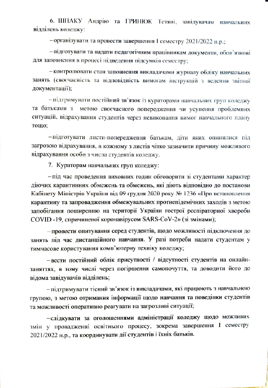6. ШПАКУ Андрію та ГРИНЮК Тетяні, завідувачам навчальних відділень коледжу:

- організувати та провести завершення І семестру 2021/2022 н.р.;

- підготувати та надати педагогічним працівникам документи, обов'язкові для заповнення в процесі підведення підсумків семестру;

- контролювати стан заповнення викладачами журналу обліку навчальних занять (своєчасність та відповідність вимогам інструкцій з ведення звітної документації);

- підтримувати постійний зв'язок із кураторами навчальних груп коледжу та батьками з метою своєчасного попередження чи усунення проблемних ситуацій, відрахування студентів через невиконання вимог навчального плану тощо;

-підготувати листи-попередження батькам, діти яких опинилися під загрозою відрахування, в кожному з листів чітко зазначити причину можливого відрахування особи з числа студентів коледжу.

7. Кураторам навчальних груп коледжу:

- під час проведення виховних годин обговорити зі студентами характер діючих карантинних обмежень та обмежень, які діють відповідно до постанови Кабінету Міністрів України від 09 грудня 2020 року № 1236 «Про встановлення карантину та запровадження обмежувальних протиепідемічних заходів з метою запобігання поширенню на території України гострої респіраторної хвороби COVID-19, спричиненої коронавірусом SARS-CoV-2» (зі змінами);

- провести опитування серед студентів, щодо можливості підключення до занять під час дистанційного навчання. У разі потреби надати студентам у тимчасове користування комп'ютерну техніку коледжу;

- вести постійний облік присутності / відсутності студентів на онлайнзаняттях, в тому числі через погіршення самопочуття, та доводити його до відома завідувачів відділень;

- підтримувати тісний зв'язок із викладачами, які працюють з навчальною групою, з метою отримання інформації щодо навчання та поведінки студентів та можливості оперативно реагувати на загрозливі ситуації;

-слідкувати за оголошеннями адміністрації коледжу щодо можливих змін у провадженні освітнього процесу, зокрема завершення І семестру 2021/2022 н.р., та координувати дії студентів і їхніх батьків.